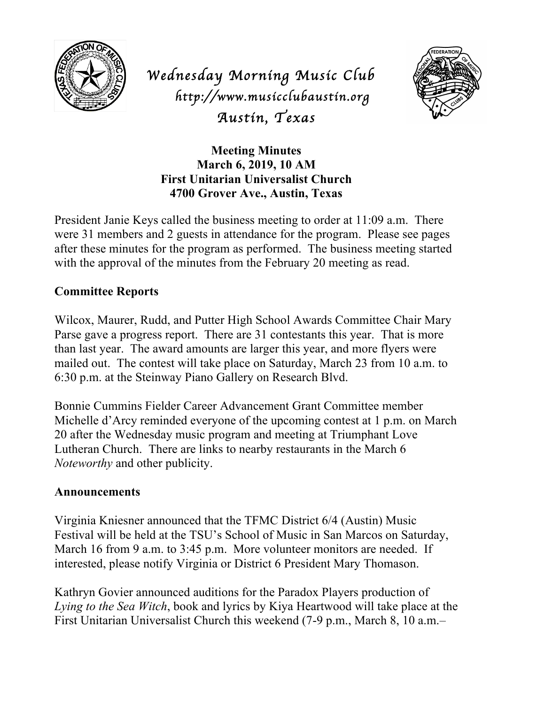

*Wednesday Morning Music Club http://www.musicclubaustin.org Austin, Texas* 



**Meeting Minutes March 6, 2019, 10 AM First Unitarian Universalist Church 4700 Grover Ave., Austin, Texas**

President Janie Keys called the business meeting to order at 11:09 a.m. There were 31 members and 2 guests in attendance for the program. Please see pages after these minutes for the program as performed. The business meeting started with the approval of the minutes from the February 20 meeting as read.

## **Committee Reports**

Wilcox, Maurer, Rudd, and Putter High School Awards Committee Chair Mary Parse gave a progress report. There are 31 contestants this year. That is more than last year. The award amounts are larger this year, and more flyers were mailed out. The contest will take place on Saturday, March 23 from 10 a.m. to 6:30 p.m. at the Steinway Piano Gallery on Research Blvd.

Bonnie Cummins Fielder Career Advancement Grant Committee member Michelle d'Arcy reminded everyone of the upcoming contest at 1 p.m. on March 20 after the Wednesday music program and meeting at Triumphant Love Lutheran Church. There are links to nearby restaurants in the March 6 *Noteworthy* and other publicity.

## **Announcements**

Virginia Kniesner announced that the TFMC District 6/4 (Austin) Music Festival will be held at the TSU's School of Music in San Marcos on Saturday, March 16 from 9 a.m. to 3:45 p.m. More volunteer monitors are needed. If interested, please notify Virginia or District 6 President Mary Thomason.

Kathryn Govier announced auditions for the Paradox Players production of *Lying to the Sea Witch*, book and lyrics by Kiya Heartwood will take place at the First Unitarian Universalist Church this weekend (7-9 p.m., March 8, 10 a.m.–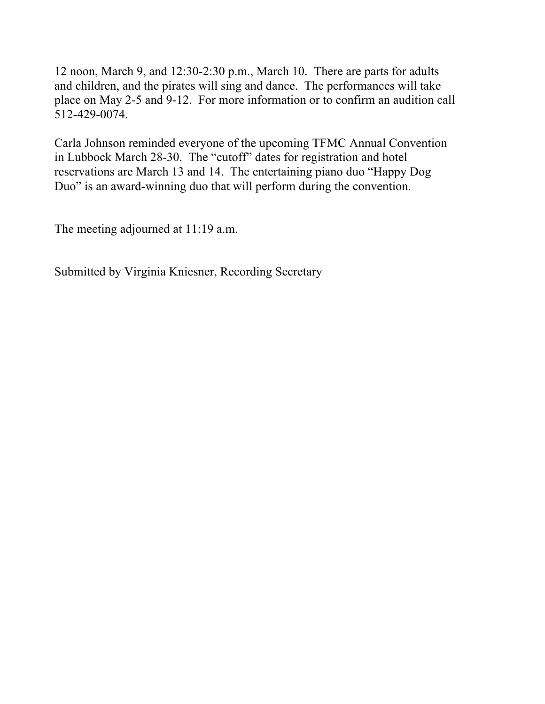12 noon, March 9, and 12:30-2:30 p.m., March 10. There are parts for adults and children, and the pirates will sing and dance. The performances will take place on May 2-5 and 9-12. For more information or to confirm an audition call 512-429-0074.

Carla Johnson reminded everyone of the upcoming TFMC Annual Convention in Lubbock March 28-30. The "cutoff" dates for registration and hotel reservations are March 13 and 14. The entertaining piano duo "Happy Dog Duo" is an award-winning duo that will perform during the convention.

The meeting adjourned at 11:19 a.m.

Submitted by Virginia Kniesner, Recording Secretary